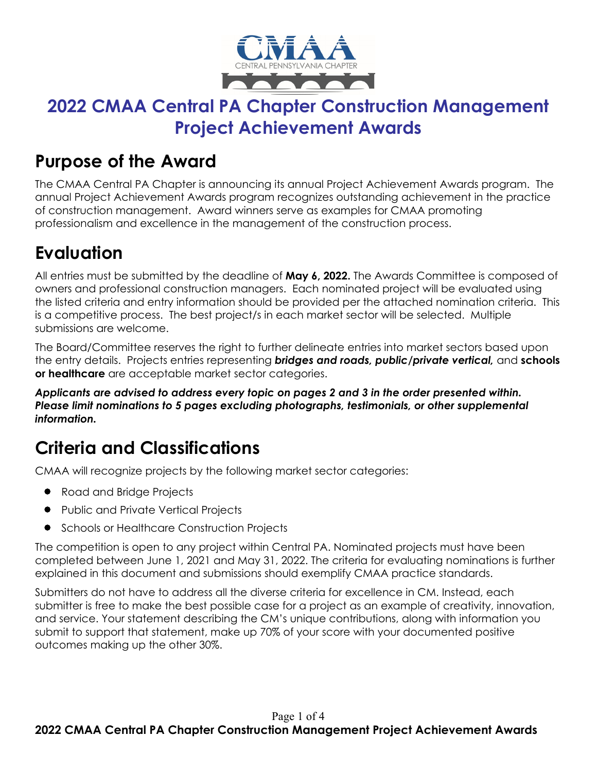

### **2022 CMAA Central PA Chapter Construction Management Project Achievement Awards**

### **Purpose of the Award**

The CMAA Central PA Chapter is announcing its annual Project Achievement Awards program. The annual Project Achievement Awards program recognizes outstanding achievement in the practice of construction management. Award winners serve as examples for CMAA promoting professionalism and excellence in the management of the construction process.

## **Evaluation**

All entries must be submitted by the deadline of **May 6, 2022.** The Awards Committee is composed of owners and professional construction managers. Each nominated project will be evaluated using the listed criteria and entry information should be provided per the attached nomination criteria. This is a competitive process. The best project/s in each market sector will be selected. Multiple submissions are welcome.

The Board/Committee reserves the right to further delineate entries into market sectors based upon the entry details. Projects entries representing *bridges and roads, public/private vertical,* and **schools or healthcare** are acceptable market sector categories.

*Applicants are advised to address every topic on pages 2 and 3 in the order presented within. Please limit nominations to 5 pages excluding photographs, testimonials, or other supplemental information.*

## **Criteria and Classifications**

CMAA will recognize projects by the following market sector categories:

- Road and Bridge Projects
- Public and Private Vertical Projects
- Schools or Healthcare Construction Projects

The competition is open to any project within Central PA. Nominated projects must have been completed between June 1, 2021 and May 31, 2022. The criteria for evaluating nominations is further explained in this document and submissions should exemplify CMAA practice standards.

Submitters do not have to address all the diverse criteria for excellence in CM. Instead, each submitter is free to make the best possible case for a project as an example of creativity, innovation, and service. Your statement describing the CM's unique contributions, along with information you submit to support that statement, make up 70% of your score with your documented positive outcomes making up the other 30%.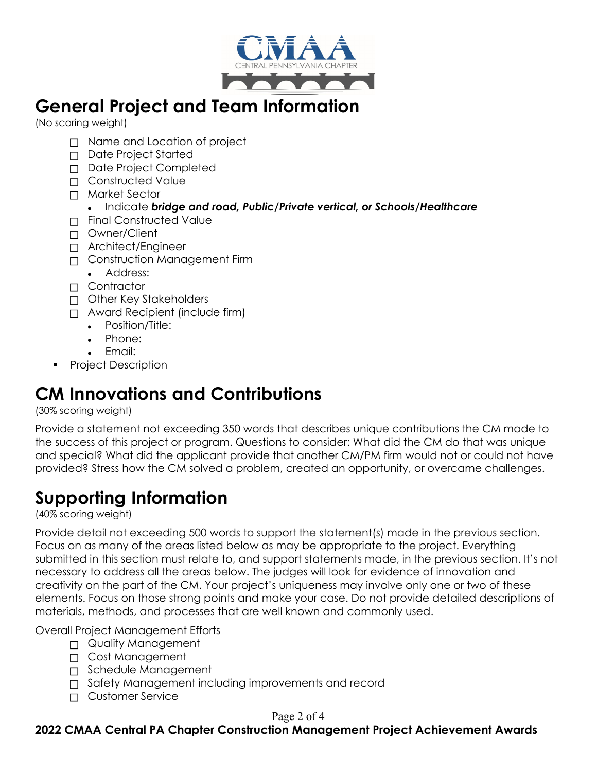

### **General Project and Team Information**

(No scoring weight)

- □ Name and Location of project
- Date Project Started
- Date Project Completed
- □ Constructed Value
- Market Sector

#### • Indicate *bridge and road, Public/Private vertical, or Schools/Healthcare*

- Final Constructed Value
- Owner/Client
- Architect/Engineer
- Construction Management Firm
	- Address:
- □ Contractor
- Other Key Stakeholders
- Award Recipient (include firm)
	- Position/Title:
	- Phone:
	- Email:
- Project Description

## **CM Innovations and Contributions**

(30% scoring weight)

Provide a statement not exceeding 350 words that describes unique contributions the CM made to the success of this project or program. Questions to consider: What did the CM do that was unique and special? What did the applicant provide that another CM/PM firm would not or could not have provided? Stress how the CM solved a problem, created an opportunity, or overcame challenges.

### **Supporting Information**

(40% scoring weight)

Provide detail not exceeding 500 words to support the statement(s) made in the previous section. Focus on as many of the areas listed below as may be appropriate to the project. Everything submitted in this section must relate to, and support statements made, in the previous section. It's not necessary to address all the areas below. The judges will look for evidence of innovation and creativity on the part of the CM. Your project's uniqueness may involve only one or two of these elements. Focus on those strong points and make your case. Do not provide detailed descriptions of materials, methods, and processes that are well known and commonly used.

Overall Project Management Efforts

- Quality Management
- □ Cost Management
- Schedule Management
- □ Safety Management including improvements and record
- Customer Service

#### Page 2 of 4

**2022 CMAA Central PA Chapter Construction Management Project Achievement Awards**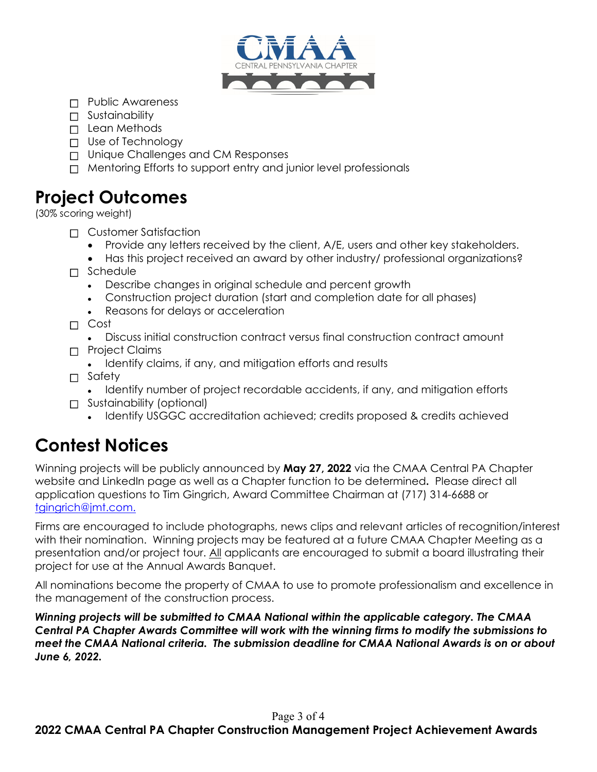

- □ Public Awareness
- □ Sustainability
- □ Lean Methods
- $\Box$  Use of Technology
- □ Unique Challenges and CM Responses
- $\Box$  Mentoring Efforts to support entry and junior level professionals

### **Project Outcomes**

(30% scoring weight)

- □ Customer Satisfaction
	- Provide any letters received by the client, A/E, users and other key stakeholders.
	- Has this project received an award by other industry/ professional organizations?
- $\Box$  Schedule
	- Describe changes in original schedule and percent growth
	- Construction project duration (start and completion date for all phases)
	- Reasons for delays or acceleration

Cost

- Discuss initial construction contract versus final construction contract amount
- Project Claims
	- Identify claims, if any, and mitigation efforts and results
- □ Safety
	- Identify number of project recordable accidents, if any, and mitigation efforts
- Sustainability (optional)
	- Identify USGGC accreditation achieved; credits proposed & credits achieved

# **Contest Notices**

Winning projects will be publicly announced by **May 27, 2022** via the CMAA Central PA Chapter website and LinkedIn page as well as a Chapter function to be determined**.** Please direct all application questions to Tim Gingrich, Award Committee Chairman at (717) 314-6688 or [tgingrich@jmt.com.](mailto:tgingrich@jmt.com)

Firms are encouraged to include photographs, news clips and relevant articles of recognition/interest with their nomination. Winning projects may be featured at a future CMAA Chapter Meeting as a presentation and/or project tour. All applicants are encouraged to submit a board illustrating their project for use at the Annual Awards Banquet.

All nominations become the property of CMAA to use to promote professionalism and excellence in the management of the construction process.

*Winning projects will be submitted to CMAA National within the applicable category. The CMAA Central PA Chapter Awards Committee will work with the winning firms to modify the submissions to meet the CMAA National criteria. The submission deadline for CMAA National Awards is on or about June 6, 2022.*